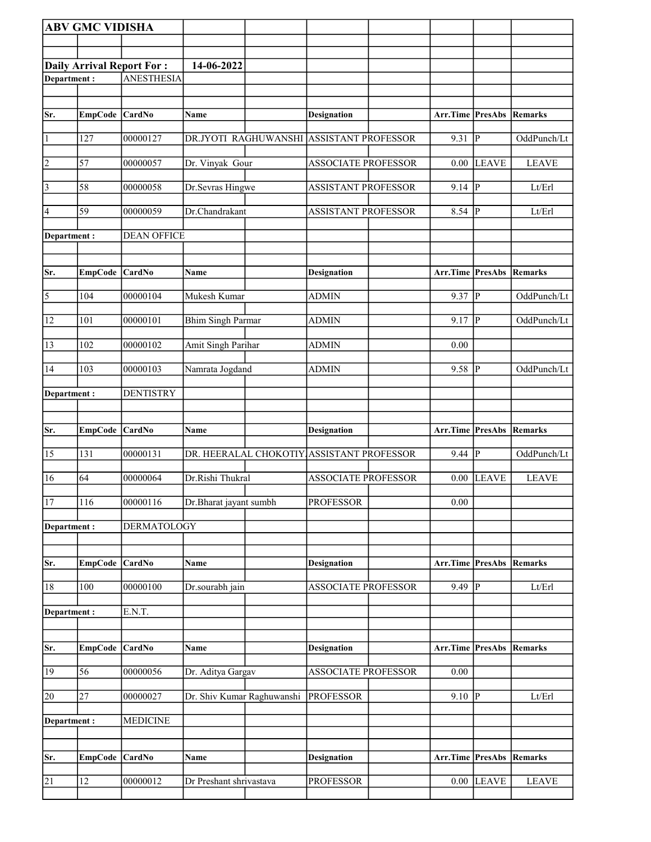| <b>ABV GMC VIDISHA</b> |                 |                                  |                                           |                            |                                 |                         |                        |
|------------------------|-----------------|----------------------------------|-------------------------------------------|----------------------------|---------------------------------|-------------------------|------------------------|
|                        |                 |                                  |                                           |                            |                                 |                         |                        |
|                        |                 | <b>Daily Arrival Report For:</b> | 14-06-2022                                |                            |                                 |                         |                        |
| Department:            |                 | <b>ANESTHESIA</b>                |                                           |                            |                                 |                         |                        |
|                        |                 |                                  |                                           |                            |                                 |                         |                        |
| Sr.                    | EmpCode CardNo  |                                  | Name                                      | <b>Designation</b>         | <b>Arr.Time PresAbs Remarks</b> |                         |                        |
|                        |                 |                                  |                                           |                            |                                 |                         |                        |
| $\vert$ 1              | 127             | 00000127                         | DR.JYOTI RAGHUWANSHI ASSISTANT PROFESSOR  |                            | 9.31                            | P                       | OddPunch/Lt            |
| $\overline{2}$         | 57              | 00000057                         | Dr. Vinyak Gour                           | <b>ASSOCIATE PROFESSOR</b> | 0.00                            | <b>LEAVE</b>            | <b>LEAVE</b>           |
| $\vert$ 3              | 58              | 00000058                         | Dr.Sevras Hingwe                          | <b>ASSISTANT PROFESSOR</b> | 9.14  P                         |                         | Lt/Erl                 |
| 4                      | 59              | 00000059                         | Dr.Chandrakant                            | ASSISTANT PROFESSOR        | $8.54$ P                        |                         | Lt/Erl                 |
| Department :           |                 | <b>DEAN OFFICE</b>               |                                           |                            |                                 |                         |                        |
| Sr.                    | EmpCode CardNo  |                                  | <b>Name</b>                               | <b>Designation</b>         | <b>Arr.Time PresAbs Remarks</b> |                         |                        |
| $\overline{5}$         | 104             | 00000104                         | Mukesh Kumar                              | <b>ADMIN</b>               | 9.37                            | P                       | OddPunch/Lt            |
| 12                     | 101             | 00000101                         | <b>Bhim Singh Parmar</b>                  | <b>ADMIN</b>               | 9.17                            | ∣P                      | OddPunch/Lt            |
| 13                     | 102             | 00000102                         | <b>Amit Singh Parihar</b>                 | <b>ADMIN</b>               | 0.00                            |                         |                        |
| 14                     | 103             | 00000103                         | Namrata Jogdand                           | <b>ADMIN</b>               | 9.58                            | $\overline{P}$          | OddPunch/Lt            |
| Department:            |                 | <b>DENTISTRY</b>                 |                                           |                            |                                 |                         |                        |
|                        |                 |                                  |                                           |                            |                                 |                         |                        |
|                        |                 |                                  |                                           |                            |                                 |                         |                        |
| Sr.                    | <b>EmpCode</b>  | <b>CardNo</b>                    | Name                                      | <b>Designation</b>         | Arr.Time                        | PresAbs                 | Remarks                |
| 15                     | 131             | 00000131                         | DR. HEERALAL CHOKOTIY ASSISTANT PROFESSOR |                            | 9.44                            | P                       | OddPunch/Lt            |
| 16                     | 64              | 00000064                         | Dr.Rishi Thukral                          | <b>ASSOCIATE PROFESSOR</b> | 0.00                            | <b>LEAVE</b>            | <b>LEAVE</b>           |
| 17                     | 116             | 00000116                         | Dr.Bharat jayant sumbh                    | <b>PROFESSOR</b>           | $0.00\,$                        |                         |                        |
| Department:            |                 | <b>DERMATOLOGY</b>               |                                           |                            |                                 |                         |                        |
|                        |                 |                                  |                                           |                            |                                 |                         |                        |
| Sr.                    | <b>EmpCode</b>  | <b>CardNo</b>                    | Name                                      | <b>Designation</b>         | Arr.Time                        | <b>PresAbs</b>          | Remarks                |
| 18                     | 100             | 00000100                         | Dr.sourabh jain                           | <b>ASSOCIATE PROFESSOR</b> | 9.49                            | $\overline{\mathbb{P}}$ | Lt/Erl                 |
| Department:            |                 | E.N.T.                           |                                           |                            |                                 |                         |                        |
| Sr.                    | EmpCode CardNo  |                                  | Name                                      | <b>Designation</b>         | <b>Arr.Time PresAbs Remarks</b> |                         |                        |
| 19                     | 56              | 00000056                         | Dr. Aditya Gargav                         | <b>ASSOCIATE PROFESSOR</b> | 0.00                            |                         |                        |
| 20                     | $\overline{27}$ | 00000027                         | Dr. Shiv Kumar Raghuwanshi                | <b>PROFESSOR</b>           | 9.10                            | P                       | Lt/Erl                 |
| Department:            |                 | <b>MEDICINE</b>                  |                                           |                            |                                 |                         |                        |
|                        |                 |                                  |                                           |                            |                                 |                         |                        |
| Sr.                    | EmpCode         | <b>CardNo</b>                    | <b>Name</b>                               | <b>Designation</b>         | Arr.Time                        |                         | <b>PresAbs Remarks</b> |
| 21                     | 12              | 00000012                         | Dr Preshant shrivastava                   | <b>PROFESSOR</b>           | 0.00                            | <b>LEAVE</b>            | <b>LEAVE</b>           |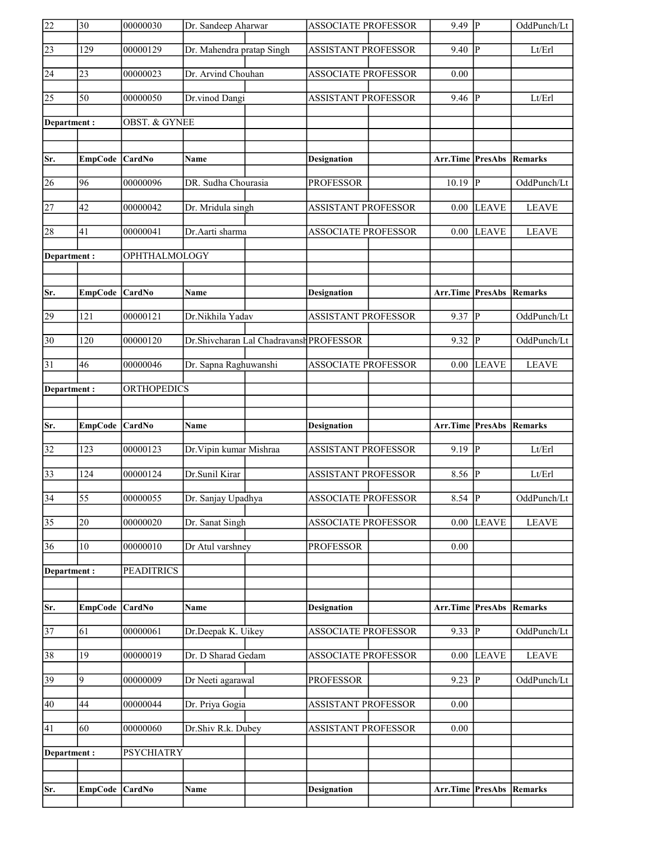| $\overline{22}$ | $\overline{30}$ | 00000030             | Dr. Sandeep Aharwar       |                                         | <b>ASSOCIATE PROFESSOR</b> | $9.49$ P                        |                | OddPunch/Lt  |
|-----------------|-----------------|----------------------|---------------------------|-----------------------------------------|----------------------------|---------------------------------|----------------|--------------|
| $\sqrt{23}$     | 129             | 00000129             | Dr. Mahendra pratap Singh |                                         | <b>ASSISTANT PROFESSOR</b> | 9.40                            | $\overline{P}$ | Lt/Erl       |
| 24              | 23              | 00000023             | Dr. Arvind Chouhan        |                                         | <b>ASSOCIATE PROFESSOR</b> | 0.00                            |                |              |
| 25              | $\overline{50}$ | 00000050             | Dr.vinod Dangi            |                                         | <b>ASSISTANT PROFESSOR</b> | 9.46                            | ∣P             | Lt/Erl       |
| Department:     |                 | OBST. & GYNEE        |                           |                                         |                            |                                 |                |              |
|                 |                 |                      |                           |                                         |                            |                                 |                |              |
| Sr.             | EmpCode CardNo  |                      | <b>Name</b>               |                                         | <b>Designation</b>         | Arr.Time PresAbs                |                | Remarks      |
| 26              | 96              | 00000096             | DR. Sudha Chourasia       |                                         | <b>PROFESSOR</b>           | 10.19                           | $\overline{P}$ | OddPunch/Lt  |
| 27              | 42              | 00000042             | Dr. Mridula singh         |                                         | <b>ASSISTANT PROFESSOR</b> | $0.00\,$                        | <b>LEAVE</b>   | <b>LEAVE</b> |
| 28              | 41              | 00000041             | Dr.Aarti sharma           |                                         | <b>ASSOCIATE PROFESSOR</b> | 0.00                            | <b>LEAVE</b>   | <b>LEAVE</b> |
| Department:     |                 | <b>OPHTHALMOLOGY</b> |                           |                                         |                            |                                 |                |              |
|                 |                 |                      |                           |                                         |                            |                                 |                |              |
| Sr.             | EmpCode CardNo  |                      | Name                      |                                         | Designation                | Arr.Time PresAbs                |                | Remarks      |
| 29              | 121             | 00000121             | Dr.Nikhila Yadav          |                                         | <b>ASSISTANT PROFESSOR</b> | 9.37                            | $\overline{P}$ | OddPunch/Lt  |
| $ 30\rangle$    | 120             | 00000120             |                           | Dr.Shivcharan Lal Chadravansh PROFESSOR |                            | 9.32                            | P              | OddPunch/Lt  |
| $\overline{31}$ | 46              | 00000046             | Dr. Sapna Raghuwanshi     |                                         | <b>ASSOCIATE PROFESSOR</b> | 0.00                            | <b>LEAVE</b>   | <b>LEAVE</b> |
| Department:     |                 | ORTHOPEDICS          |                           |                                         |                            |                                 |                |              |
|                 |                 |                      |                           |                                         |                            |                                 |                |              |
|                 |                 |                      |                           |                                         |                            |                                 |                |              |
| Sr.             | EmpCode CardNo  |                      | Name                      |                                         | <b>Designation</b>         | <b>Arr.Time PresAbs Remarks</b> |                |              |
| 32              | 123             | 00000123             | Dr. Vipin kumar Mishraa   |                                         | <b>ASSISTANT PROFESSOR</b> | 9.19  P                         |                | Lt/Erl       |
| $\overline{33}$ | 124             | 00000124             | Dr.Sunil Kirar            |                                         | <b>ASSISTANT PROFESSOR</b> | 8.56 $\boxed{P}$                |                | Lt/Erl       |
| $\overline{34}$ | $\overline{55}$ | 00000055             | Dr. Sanjay Upadhya        |                                         | ASSOCIATE PROFESSOR        | $8.54$ P                        |                | OddPunch/Lt  |
| $\overline{35}$ | 20              | 00000020             | Dr. Sanat Singh           |                                         | <b>ASSOCIATE PROFESSOR</b> | 0.00                            | <b>LEAVE</b>   | <b>LEAVE</b> |
| $\overline{36}$ | 10              | 00000010             | Dr Atul varshney          |                                         | <b>PROFESSOR</b>           | 0.00                            |                |              |
| Department:     |                 | <b>PEADITRICS</b>    |                           |                                         |                            |                                 |                |              |
|                 |                 |                      |                           |                                         |                            |                                 |                |              |
| Sr.             | <b>EmpCode</b>  | <b>CardNo</b>        | Name                      |                                         | Designation                | <b>Arr.Time PresAbs Remarks</b> |                |              |
| 37              | 61              | 00000061             | Dr.Deepak K. Uikey        |                                         | <b>ASSOCIATE PROFESSOR</b> | $9.33 \overline{P}$             |                | OddPunch/Lt  |
| 38              | 19              | 00000019             | Dr. D Sharad Gedam        |                                         | <b>ASSOCIATE PROFESSOR</b> | 0.00                            | <b>LEAVE</b>   | <b>LEAVE</b> |
| 39              | $\overline{9}$  | 00000009             | Dr Neeti agarawal         |                                         | <b>PROFESSOR</b>           | 9.23                            | $\overline{P}$ | OddPunch/Lt  |
| 40              | 44              | 00000044             | Dr. Priya Gogia           |                                         | <b>ASSISTANT PROFESSOR</b> | 0.00                            |                |              |
| 41              | 60              | 00000060             | Dr.Shiv R.k. Dubey        |                                         | <b>ASSISTANT PROFESSOR</b> | 0.00                            |                |              |
| Department:     |                 | <b>PSYCHIATRY</b>    |                           |                                         |                            |                                 |                |              |
|                 |                 |                      |                           |                                         |                            |                                 |                |              |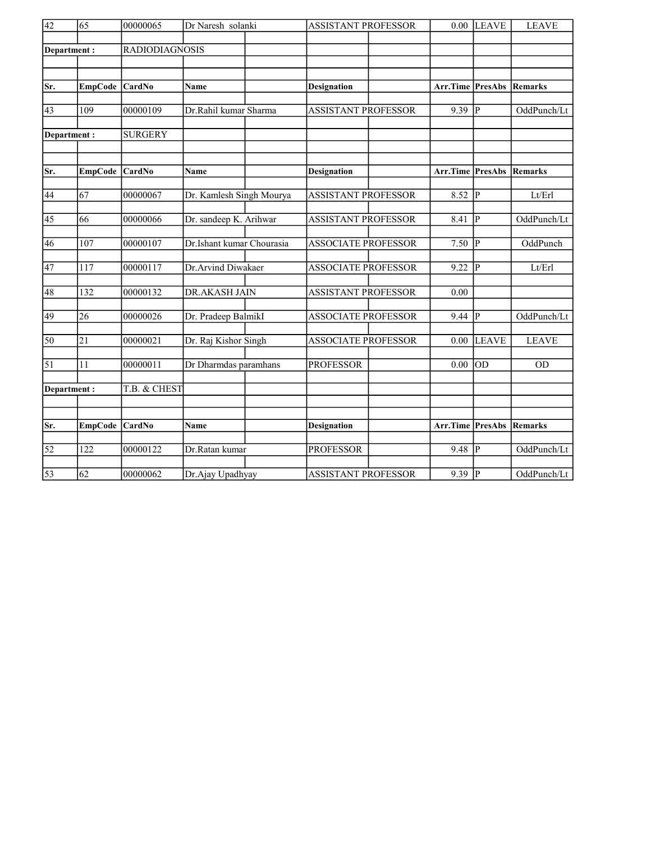| $\sqrt{42}$     | 65               | 00000065              | Dr Naresh solanki         | <b>ASSISTANT PROFESSOR</b> |                  | $0.00$ LEAVE            | <b>LEAVE</b> |
|-----------------|------------------|-----------------------|---------------------------|----------------------------|------------------|-------------------------|--------------|
|                 | Department:      | <b>RADIODIAGNOSIS</b> |                           |                            |                  |                         |              |
|                 |                  |                       |                           |                            |                  |                         |              |
|                 |                  |                       |                           |                            |                  |                         |              |
| Sr.             | <b>EmpCode</b>   | CardNo                | Name                      | <b>Designation</b>         | Arr.Time         | PresAbs                 | Remarks      |
| 43              | 109              | 00000109              | Dr.Rahil kumar Sharma     | <b>ASSISTANT PROFESSOR</b> | 9.39             | $\overline{\mathbb{P}}$ | OddPunch/Lt  |
|                 | Department:      | <b>SURGERY</b>        |                           |                            |                  |                         |              |
| Sr.             | <b>EmpCode</b>   | <b>CardNo</b>         | Name                      | <b>Designation</b>         | Arr.Time PresAbs |                         | Remarks      |
|                 |                  |                       |                           |                            |                  |                         |              |
| 44              | 67               | 00000067              | Dr. Kamlesh Singh Mourya  | <b>ASSISTANT PROFESSOR</b> | 8.52             | $ {\bf p} $             | Lt/Erl       |
| 45              | 66               | 00000066              | Dr. sandeep K. Arihwar    | <b>ASSISTANT PROFESSOR</b> | 8.41             | lр                      | OddPunch/Lt  |
| 46              | 107              | 00000107              | Dr.Ishant kumar Chourasia | <b>ASSOCIATE PROFESSOR</b> | 7.50             | $ {\bf p} $             | OddPunch     |
| 47              | 117              | 00000117              | Dr.Arvind Diwakaer        | <b>ASSOCIATE PROFESSOR</b> | 9.22             | IР                      | Lt/Erl       |
| 48              | 132              | 00000132              | DR.AKASH JAIN             | <b>ASSISTANT PROFESSOR</b> | 0.00             |                         |              |
| 49              | 26               | 00000026              | Dr. Pradeep BalmikI       | <b>ASSOCIATE PROFESSOR</b> | 9.44             | P                       | OddPunch/Lt  |
| 50              | $\overline{21}$  | 00000021              | Dr. Raj Kishor Singh      | <b>ASSOCIATE PROFESSOR</b> | 0.00             | <b>LEAVE</b>            | <b>LEAVE</b> |
| $\overline{51}$ | 11               | 00000011              | Dr Dharmdas paramhans     | <b>PROFESSOR</b>           | 0.00             | OD                      | <b>OD</b>    |
|                 | Department:      | T.B. & CHEST          |                           |                            |                  |                         |              |
|                 |                  |                       |                           |                            |                  |                         |              |
| Sr.             | <b>EmpCode</b>   | <b>CardNo</b>         | <b>Name</b>               | <b>Designation</b>         | Arr.Time         | PresAbs                 | Remarks      |
|                 |                  |                       |                           |                            |                  |                         |              |
| $\overline{52}$ | $\overline{122}$ | 00000122              | Dr.Ratan kumar            | <b>PROFESSOR</b>           | 9.48             | P                       | OddPunch/Lt  |
| $\overline{53}$ | $\overline{62}$  | 00000062              | Dr.Ajay Upadhyay          | <b>ASSISTANT PROFESSOR</b> | $9.39$ P         |                         | OddPunch/Lt  |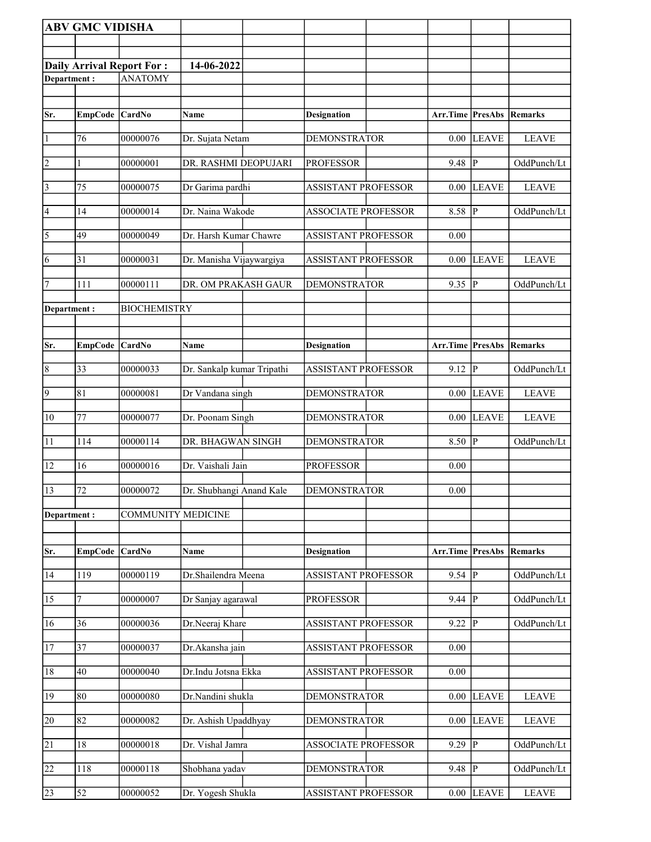|                       | <b>ABV GMC VIDISHA</b> |                                  |                            |                            |                                 |              |              |
|-----------------------|------------------------|----------------------------------|----------------------------|----------------------------|---------------------------------|--------------|--------------|
|                       |                        |                                  |                            |                            |                                 |              |              |
|                       |                        | <b>Daily Arrival Report For:</b> | 14-06-2022                 |                            |                                 |              |              |
| Department:           |                        | <b>ANATOMY</b>                   |                            |                            |                                 |              |              |
|                       |                        |                                  |                            |                            |                                 |              |              |
| Sr.                   | EmpCode CardNo         |                                  | Name                       | <b>Designation</b>         | <b>Arr.Time PresAbs Remarks</b> |              |              |
|                       |                        | 00000076                         |                            |                            |                                 |              |              |
| $\vert$ 1             | 76                     |                                  | Dr. Sujata Netam           | <b>DEMONSTRATOR</b>        | 0.00                            | <b>LEAVE</b> | <b>LEAVE</b> |
| $\vert$ 2             | 1                      | 00000001                         | DR. RASHMI DEOPUJARI       | <b>PROFESSOR</b>           | 9.48                            | P            | OddPunch/Lt  |
| $\overline{3}$        | 75                     | 00000075                         | Dr Garima pardhi           | <b>ASSISTANT PROFESSOR</b> | 0.00                            | <b>LEAVE</b> | <b>LEAVE</b> |
| 4                     | 14                     | 00000014                         | Dr. Naina Wakode           | <b>ASSOCIATE PROFESSOR</b> | 8.58                            | ∣P           | OddPunch/Lt  |
| $\overline{\sqrt{5}}$ | 49                     | 00000049                         | Dr. Harsh Kumar Chawre     | <b>ASSISTANT PROFESSOR</b> | 0.00                            |              |              |
| 6                     | 31                     | 00000031                         | Dr. Manisha Vijaywargiya   | <b>ASSISTANT PROFESSOR</b> | 0.00                            | <b>LEAVE</b> | <b>LEAVE</b> |
| 7                     | 111                    | 00000111                         | DR. OM PRAKASH GAUR        | <b>DEMONSTRATOR</b>        | 9.35                            | P            | OddPunch/Lt  |
| Department:           |                        | <b>BIOCHEMISTRY</b>              |                            |                            |                                 |              |              |
|                       |                        |                                  |                            |                            |                                 |              |              |
| Sr.                   | <b>EmpCode</b>         | CardNo                           | Name                       | <b>Designation</b>         | Arr.Time PresAbs                |              | Remarks      |
| $\vert 8$             | 33                     | 00000033                         | Dr. Sankalp kumar Tripathi | ASSISTANT PROFESSOR        | 9.12                            | IР           | OddPunch/Lt  |
| $\overline{9}$        | 81                     | 00000081                         | Dr Vandana singh           | <b>DEMONSTRATOR</b>        | 0.00                            | <b>LEAVE</b> | <b>LEAVE</b> |
| 10                    | 77                     | 00000077                         | Dr. Poonam Singh           | <b>DEMONSTRATOR</b>        | 0.00                            | <b>LEAVE</b> | <b>LEAVE</b> |
| $\overline{11}$       | $\overline{114}$       | 00000114                         | DR. BHAGWAN SINGH          | <b>DEMONSTRATOR</b>        | 8.50                            | P            | OddPunch/Lt  |
| 12                    | 16                     | 00000016                         | Dr. Vaishali Jain          | <b>PROFESSOR</b>           | 0.00                            |              |              |
| 13                    | 72                     | 00000072                         | Dr. Shubhangi Anand Kale   | <b>DEMONSTRATOR</b>        | 0.00                            |              |              |
| Department:           |                        | <b>COMMUNITY MEDICINE</b>        |                            |                            |                                 |              |              |
|                       |                        |                                  |                            |                            |                                 |              |              |
| Sr.                   | <b>EmpCode</b>         | <b>CardNo</b>                    | Name                       | <b>Designation</b>         | Arr.Time                        | PresAbs      | Remarks      |
| 14                    | 119                    | 00000119                         | Dr.Shailendra Meena        | <b>ASSISTANT PROFESSOR</b> | $9.54$ P                        |              | OddPunch/Lt  |
| 15                    | 7                      | 00000007                         | Dr Sanjay agarawal         | <b>PROFESSOR</b>           | 9.44                            | P            | OddPunch/Lt  |
| 16                    | 36                     | 00000036                         | Dr.Neeraj Khare            | <b>ASSISTANT PROFESSOR</b> | 9.22                            | $\mathbf{P}$ | OddPunch/Lt  |
| 17                    | 37                     | 00000037                         | Dr.Akansha jain            | <b>ASSISTANT PROFESSOR</b> | 0.00                            |              |              |
| 18                    | 40                     | 00000040                         | Dr.Indu Jotsna Ekka        | ASSISTANT PROFESSOR        | 0.00                            |              |              |
| 19                    | 80                     | 00000080                         | Dr.Nandini shukla          | <b>DEMONSTRATOR</b>        | 0.00                            | <b>LEAVE</b> | <b>LEAVE</b> |
| 20                    | 82                     | 00000082                         | Dr. Ashish Upaddhyay       | <b>DEMONSTRATOR</b>        | 0.00                            | <b>LEAVE</b> | <b>LEAVE</b> |
| $\overline{21}$       | $18\,$                 | 00000018                         | Dr. Vishal Jamra           | <b>ASSOCIATE PROFESSOR</b> | 9.29                            | P            | OddPunch/Lt  |
| $\overline{22}$       | 118                    | 00000118                         | Shobhana yadav             | <b>DEMONSTRATOR</b>        | 9.48                            | P            | OddPunch/Lt  |
| 23                    | 52                     | 00000052                         | Dr. Yogesh Shukla          | <b>ASSISTANT PROFESSOR</b> | 0.00                            | <b>LEAVE</b> | <b>LEAVE</b> |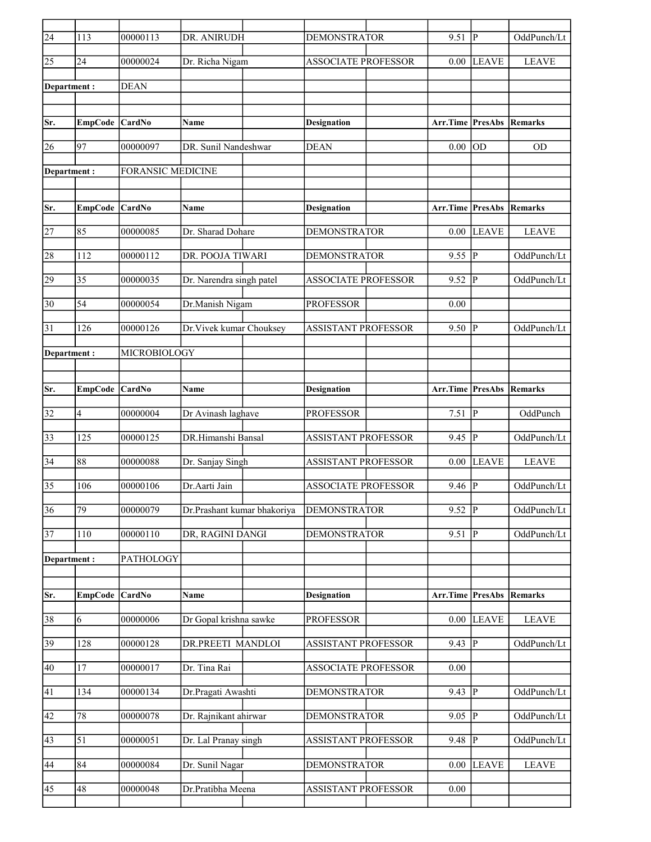| $\overline{24}$ | 113             | 00000113                 | DR. ANIRUDH                 | <b>DEMONSTRATOR</b>        | 9.51                            | IР             | OddPunch/Lt    |
|-----------------|-----------------|--------------------------|-----------------------------|----------------------------|---------------------------------|----------------|----------------|
| 25              | 24              | 00000024                 | Dr. Richa Nigam             | <b>ASSOCIATE PROFESSOR</b> | 0.00                            | <b>LEAVE</b>   | <b>LEAVE</b>   |
| Department:     |                 | <b>DEAN</b>              |                             |                            |                                 |                |                |
|                 |                 |                          |                             |                            |                                 |                |                |
| Sr.             | EmpCode CardNo  |                          | Name                        | <b>Designation</b>         | <b>Arr.Time PresAbs Remarks</b> |                |                |
| 26              | 97              | 00000097                 | DR. Sunil Nandeshwar        | <b>DEAN</b>                | 0.00                            | OD             | <b>OD</b>      |
| Department:     |                 | <b>FORANSIC MEDICINE</b> |                             |                            |                                 |                |                |
|                 |                 |                          |                             |                            |                                 |                |                |
| Sr.             | EmpCode CardNo  |                          | Name                        | <b>Designation</b>         | Arr.Time                        | <b>PresAbs</b> | <b>Remarks</b> |
| 27              | 85              | 00000085                 | Dr. Sharad Dohare           | <b>DEMONSTRATOR</b>        | 0.00                            | <b>LEAVE</b>   | <b>LEAVE</b>   |
|                 |                 |                          |                             |                            |                                 |                |                |
| 28              | 112             | 00000112                 | DR. POOJA TIWARI            | <b>DEMONSTRATOR</b>        | 9.55                            | P              | OddPunch/Lt    |
| 29              | 35              | 00000035                 | Dr. Narendra singh patel    | <b>ASSOCIATE PROFESSOR</b> | 9.52                            | P              | OddPunch/Lt    |
| 30              | 54              | 00000054                 | Dr.Manish Nigam             | <b>PROFESSOR</b>           | 0.00                            |                |                |
| 31              | 126             | 00000126                 | Dr. Vivek kumar Chouksey    | <b>ASSISTANT PROFESSOR</b> | 9.50                            | P              | OddPunch/Lt    |
| Department :    |                 | MICROBIOLOGY             |                             |                            |                                 |                |                |
|                 |                 |                          |                             |                            |                                 |                |                |
| Sr.             | EmpCode CardNo  |                          | Name                        | <b>Designation</b>         | Arr.Time                        | PresAbs        | Remarks        |
|                 |                 |                          |                             |                            |                                 |                |                |
| 32              | 4               | 00000004                 | Dr Avinash laghave          | <b>PROFESSOR</b>           | 7.51                            | P              | OddPunch       |
| 33              | 125             | 00000125                 | DR.Himanshi Bansal          | <b>ASSISTANT PROFESSOR</b> | 9.45                            | P              | OddPunch/Lt    |
| 34              | 88              | 00000088                 | Dr. Sanjay Singh            | <b>ASSISTANT PROFESSOR</b> | 0.00                            | <b>LEAVE</b>   | <b>LEAVE</b>   |
| 35              | 106             | 00000106                 | Dr.Aarti Jain               | <b>ASSOCIATE PROFESSOR</b> | 9.46                            | P              | OddPunch/Lt    |
| 36              | $\overline{79}$ | 00000079                 | Dr.Prashant kumar bhakoriya | <b>DEMONSTRATOR</b>        | 9.52                            | $\overline{P}$ | OddPunch/Lt    |
| 37              | $110\,$         | 00000110                 | DR, RAGINI DANGI            | <b>DEMONSTRATOR</b>        | 9.51                            | P              | OddPunch/Lt    |
| Department:     |                 | PATHOLOGY                |                             |                            |                                 |                |                |
|                 |                 |                          |                             |                            |                                 |                |                |
| Sr.             | <b>EmpCode</b>  | CardNo                   | Name                        | <b>Designation</b>         | Arr.Time                        | <b>PresAbs</b> | Remarks        |
| 38              | 6               | 00000006                 | Dr Gopal krishna sawke      | <b>PROFESSOR</b>           | 0.00                            | <b>LEAVE</b>   | <b>LEAVE</b>   |
| 39              | 128             | 00000128                 | DR.PREETI MANDLOI           | <b>ASSISTANT PROFESSOR</b> | 9.43                            | $ {\bf P} $    | OddPunch/Lt    |
| 40              | 17              | 00000017                 | Dr. Tina Rai                | <b>ASSOCIATE PROFESSOR</b> | 0.00                            |                |                |
|                 |                 |                          |                             |                            |                                 |                |                |
| 41              | 134             | 00000134                 | Dr.Pragati Awashti          | <b>DEMONSTRATOR</b>        | 9.43                            | $\mathbf{P}$   | OddPunch/Lt    |
| 42              | $78\,$          | 00000078                 | Dr. Rajnikant ahirwar       | <b>DEMONSTRATOR</b>        | 9.05                            | $\mathbf{P}$   | OddPunch/Lt    |
| 43              | 51              | 00000051                 | Dr. Lal Pranay singh        | ASSISTANT PROFESSOR        | 9.48                            | $\mathbf{P}$   | OddPunch/Lt    |
| 44              | 84              | 00000084                 | Dr. Sunil Nagar             | <b>DEMONSTRATOR</b>        | 0.00                            | <b>LEAVE</b>   | <b>LEAVE</b>   |
| 45              | 48              | 00000048                 | Dr.Pratibha Meena           | ASSISTANT PROFESSOR        | 0.00                            |                |                |
|                 |                 |                          |                             |                            |                                 |                |                |